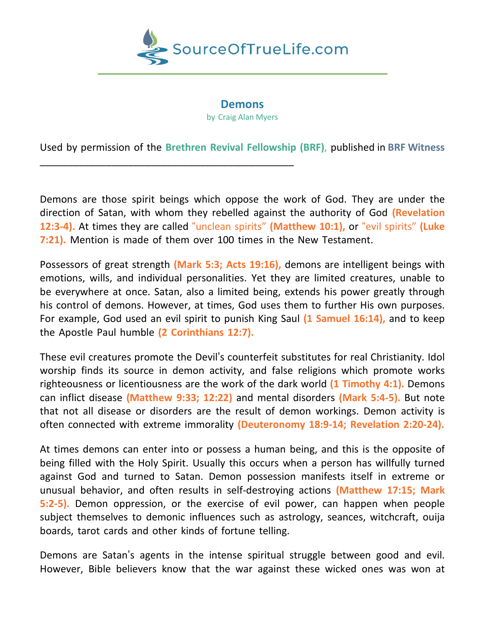

## **Demons** by Craig Alan Myers

Used by permission of the **Brethren Revival Fellowship (BRF)**, published in **BRF Witness**

\_\_\_\_\_\_\_\_\_\_\_\_\_\_\_\_\_\_\_\_\_\_\_\_\_\_\_\_\_\_\_\_\_\_\_\_\_\_\_\_\_\_\_\_\_\_

Demons are those spirit beings which oppose the work of God. They are under the direction of Satan, with whom they rebelled against the authority of God **(Revelation 12:3-4).** At times they are called "unclean spirits" **(Matthew 10:1),** or "evil spirits" **(Luke 7:21).** Mention is made of them over 100 times in the New Testament.

Possessors of great strength **(Mark 5:3; Acts 19:16),** demons are intelligent beings with emotions, wills, and individual personalities. Yet they are limited creatures, unable to be everywhere at once. Satan, also a limited being, extends his power greatly through his control of demons. However, at times, God uses them to further His own purposes. For example, God used an evil spirit to punish King Saul **(1 Samuel 16:14),** and to keep the Apostle Paul humble **(2 Corinthians 12:7).**

These evil creatures promote the Devil's counterfeit substitutes for real Christianity. Idol worship finds its source in demon activity, and false religions which promote works righteousness or licentiousness are the work of the dark world **(1 Timothy 4:1).** Demons can inflict disease **(Matthew 9:33; 12:22)** and mental disorders **(Mark 5:4-5).** But note that not all disease or disorders are the result of demon workings. Demon activity is often connected with extreme immorality **(Deuteronomy 18:9-14; Revelation 2:20-24).**

At times demons can enter into or possess a human being, and this is the opposite of being filled with the Holy Spirit. Usually this occurs when a person has willfully turned against God and turned to Satan. Demon possession manifests itself in extreme or unusual behavior, and often results in self-destroying actions **(Matthew 17:15; Mark 5:2-5).** Demon oppression, or the exercise of evil power, can happen when people subject themselves to demonic influences such as astrology, seances, witchcraft, ouija boards, tarot cards and other kinds of fortune telling.

Demons are Satan's agents in the intense spiritual struggle between good and evil. However, Bible believers know that the war against these wicked ones was won at